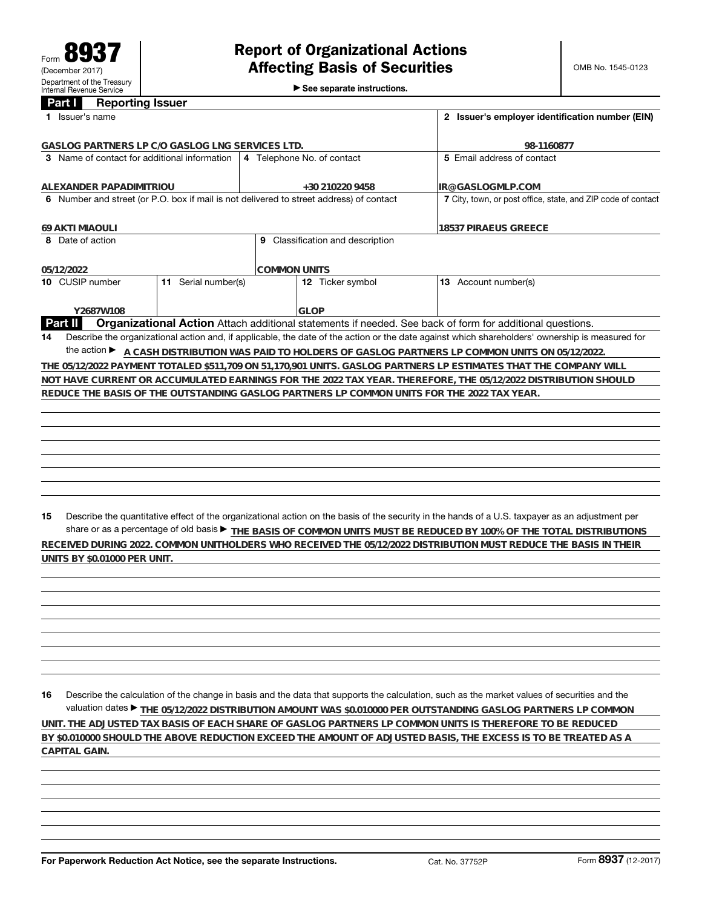►<br>► See separate instructions.

## **Part I Reporting Issuer**

|    | Issuer's name                                                                                                              |                     |                                     | 2 Issuer's employer identification number (EIN)                                            |  |                                                                                                                                                 |  |  |  |  |  |  |  |
|----|----------------------------------------------------------------------------------------------------------------------------|---------------------|-------------------------------------|--------------------------------------------------------------------------------------------|--|-------------------------------------------------------------------------------------------------------------------------------------------------|--|--|--|--|--|--|--|
|    | GASLOG PARTNERS LP C/O GASLOG LNG SERVICES LTD.                                                                            |                     |                                     | 98-1160877                                                                                 |  |                                                                                                                                                 |  |  |  |  |  |  |  |
|    | 3 Name of contact for additional information                                                                               |                     | 4 Telephone No. of contact          |                                                                                            |  | 5 Email address of contact                                                                                                                      |  |  |  |  |  |  |  |
|    | ALEXANDER PAPADIMITRIOU                                                                                                    |                     | +30 210220 9458                     |                                                                                            |  | IR@GASLOGMLP.COM                                                                                                                                |  |  |  |  |  |  |  |
|    |                                                                                                                            |                     |                                     | 6 Number and street (or P.O. box if mail is not delivered to street address) of contact    |  | 7 City, town, or post office, state, and ZIP code of contact                                                                                    |  |  |  |  |  |  |  |
|    | <b>69 AKTI MIAOULI</b>                                                                                                     |                     |                                     | <b>18537 PIRAEUS GREECE</b>                                                                |  |                                                                                                                                                 |  |  |  |  |  |  |  |
|    | 8 Date of action                                                                                                           |                     | Classification and description<br>9 |                                                                                            |  |                                                                                                                                                 |  |  |  |  |  |  |  |
|    | 05/12/2022                                                                                                                 |                     | COMMON UNITS                        |                                                                                            |  |                                                                                                                                                 |  |  |  |  |  |  |  |
|    | 10 CUSIP number                                                                                                            | 11 Serial number(s) |                                     | 12 Ticker symbol                                                                           |  | 13 Account number(s)                                                                                                                            |  |  |  |  |  |  |  |
|    | Y2687W108                                                                                                                  |                     |                                     | <b>GLOP</b>                                                                                |  |                                                                                                                                                 |  |  |  |  |  |  |  |
|    | Organizational Action Attach additional statements if needed. See back of form for additional questions.<br><b>Part II</b> |                     |                                     |                                                                                            |  |                                                                                                                                                 |  |  |  |  |  |  |  |
| 14 |                                                                                                                            |                     |                                     |                                                                                            |  | Describe the organizational action and, if applicable, the date of the action or the date against which shareholders' ownership is measured for |  |  |  |  |  |  |  |
|    |                                                                                                                            |                     |                                     |                                                                                            |  | the action ▶ A CASH DISTRIBUTION WAS PAID TO HOLDERS OF GASLOG PARTNERS LP COMMON UNITS ON 05/12/2022.                                          |  |  |  |  |  |  |  |
|    |                                                                                                                            |                     |                                     |                                                                                            |  | THE 05/12/2022 PAYMENT TOTALED \$511,709 ON 51,170,901 UNITS. GASLOG PARTNERS LP ESTIMATES THAT THE COMPANY WILL                                |  |  |  |  |  |  |  |
|    |                                                                                                                            |                     |                                     |                                                                                            |  | NOT HAVE CURRENT OR ACCUMULATED EARNINGS FOR THE 2022 TAX YEAR. THEREFORE, THE 05/12/2022 DISTRIBUTION SHOULD                                   |  |  |  |  |  |  |  |
|    |                                                                                                                            |                     |                                     | REDUCE THE BASIS OF THE OUTSTANDING GASLOG PARTNERS LP COMMON UNITS FOR THE 2022 TAX YEAR. |  |                                                                                                                                                 |  |  |  |  |  |  |  |
|    |                                                                                                                            |                     |                                     |                                                                                            |  |                                                                                                                                                 |  |  |  |  |  |  |  |
|    |                                                                                                                            |                     |                                     |                                                                                            |  |                                                                                                                                                 |  |  |  |  |  |  |  |
|    |                                                                                                                            |                     |                                     |                                                                                            |  |                                                                                                                                                 |  |  |  |  |  |  |  |
|    |                                                                                                                            |                     |                                     |                                                                                            |  |                                                                                                                                                 |  |  |  |  |  |  |  |
|    |                                                                                                                            |                     |                                     |                                                                                            |  |                                                                                                                                                 |  |  |  |  |  |  |  |
|    |                                                                                                                            |                     |                                     |                                                                                            |  |                                                                                                                                                 |  |  |  |  |  |  |  |

**15** Describe the quantitative effect of the organizational action on the basis of the security in the hands of a U.S. taxpayer as an adjustment per share or as a percentage of old basis  $\blacktriangleright$  <u>THE BASIS OF COMMON UNITS MUST BE REDUCED BY 100% OF THE TOTAL DISTRIBUTIONS</u> **RECEIVED DURING 2022. COMMON UNITHOLDERS WHO RECEIVED THE 05/12/2022 DISTRIBUTION MUST REDUCE THE BASIS IN THEIR UNITS BY \$0.01000 PER UNIT.**

**16** Describe the calculation of the change in basis and the data that supports the calculation, such as the market values of securities and the valuation dates ▶ THE 05/12/2022 DISTRIBUTION AMOUNT WAS \$0.010000 PER OUTSTANDING GASLOG PARTNERS LP COMMON **UNIT. THE ADJUSTED TAX BASIS OF EACH SHARE OF GASLOG PARTNERS LP COMMON UNITS IS THEREFORE TO BE REDUCED BY \$0.010000 SHOULD THE ABOVE REDUCTION EXCEED THE AMOUNT OF ADJUSTED BASIS, THE EXCESS IS TO BE TREATED AS A CAPITAL GAIN.**